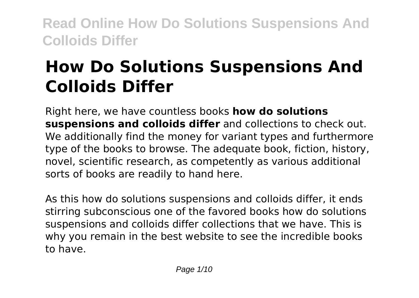# **How Do Solutions Suspensions And Colloids Differ**

Right here, we have countless books **how do solutions suspensions and colloids differ** and collections to check out. We additionally find the money for variant types and furthermore type of the books to browse. The adequate book, fiction, history, novel, scientific research, as competently as various additional sorts of books are readily to hand here.

As this how do solutions suspensions and colloids differ, it ends stirring subconscious one of the favored books how do solutions suspensions and colloids differ collections that we have. This is why you remain in the best website to see the incredible books to have.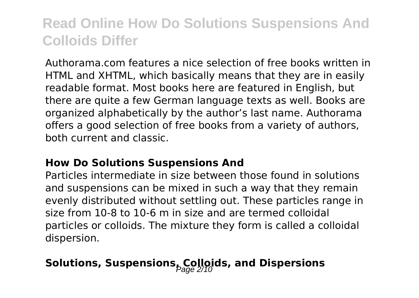Authorama.com features a nice selection of free books written in HTML and XHTML, which basically means that they are in easily readable format. Most books here are featured in English, but there are quite a few German language texts as well. Books are organized alphabetically by the author's last name. Authorama offers a good selection of free books from a variety of authors, both current and classic.

#### **How Do Solutions Suspensions And**

Particles intermediate in size between those found in solutions and suspensions can be mixed in such a way that they remain evenly distributed without settling out. These particles range in size from 10-8 to 10-6 m in size and are termed colloidal particles or colloids. The mixture they form is called a colloidal dispersion.

### Solutions, Suspensions<sub>bage</sub> 2/10 ks, and Dispersions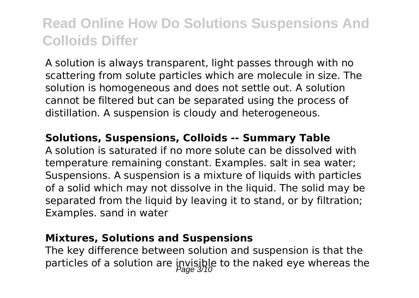A solution is always transparent, light passes through with no scattering from solute particles which are molecule in size. The solution is homogeneous and does not settle out. A solution cannot be filtered but can be separated using the process of distillation. A suspension is cloudy and heterogeneous.

#### **Solutions, Suspensions, Colloids -- Summary Table**

A solution is saturated if no more solute can be dissolved with temperature remaining constant. Examples. salt in sea water; Suspensions. A suspension is a mixture of liquids with particles of a solid which may not dissolve in the liquid. The solid may be separated from the liquid by leaving it to stand, or by filtration; Examples. sand in water

#### **Mixtures, Solutions and Suspensions**

The key difference between solution and suspension is that the particles of a solution are invisible to the naked eye whereas the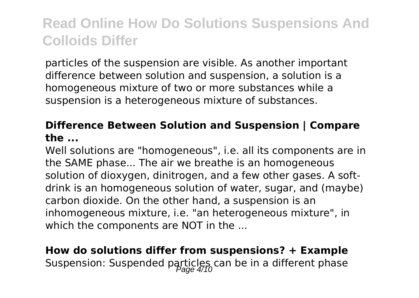particles of the suspension are visible. As another important difference between solution and suspension, a solution is a homogeneous mixture of two or more substances while a suspension is a heterogeneous mixture of substances.

### **Difference Between Solution and Suspension | Compare the ...**

Well solutions are "homogeneous", i.e. all its components are in the SAME phase... The air we breathe is an homogeneous solution of dioxygen, dinitrogen, and a few other gases. A softdrink is an homogeneous solution of water, sugar, and (maybe) carbon dioxide. On the other hand, a suspension is an inhomogeneous mixture, i.e. "an heterogeneous mixture", in which the components are NOT in the ...

**How do solutions differ from suspensions? + Example** Suspension: Suspended particles can be in a different phase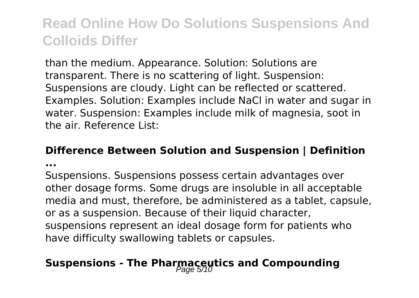than the medium. Appearance. Solution: Solutions are transparent. There is no scattering of light. Suspension: Suspensions are cloudy. Light can be reflected or scattered. Examples. Solution: Examples include NaCl in water and sugar in water. Suspension: Examples include milk of magnesia, soot in the air. Reference List:

#### **Difference Between Solution and Suspension | Definition**

**...**

Suspensions. Suspensions possess certain advantages over other dosage forms. Some drugs are insoluble in all acceptable media and must, therefore, be administered as a tablet, capsule, or as a suspension. Because of their liquid character, suspensions represent an ideal dosage form for patients who have difficulty swallowing tablets or capsules.

### **Suspensions - The Pharmaceutics and Compounding**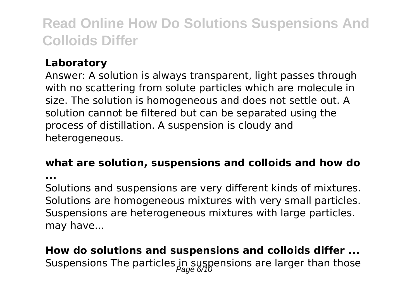### **Laboratory**

Answer: A solution is always transparent, light passes through with no scattering from solute particles which are molecule in size. The solution is homogeneous and does not settle out. A solution cannot be filtered but can be separated using the process of distillation. A suspension is cloudy and heterogeneous.

#### **what are solution, suspensions and colloids and how do**

**...**

Solutions and suspensions are very different kinds of mixtures. Solutions are homogeneous mixtures with very small particles. Suspensions are heterogeneous mixtures with large particles. may have...

**How do solutions and suspensions and colloids differ ...** Suspensions The particles in suspensions are larger than those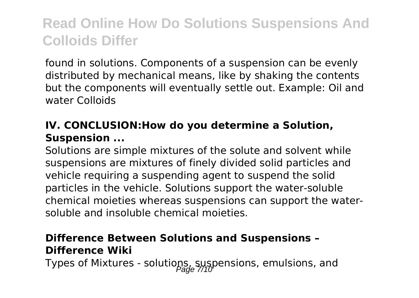found in solutions. Components of a suspension can be evenly distributed by mechanical means, like by shaking the contents but the components will eventually settle out. Example: Oil and water Colloids

### **IV. CONCLUSION:How do you determine a Solution, Suspension ...**

Solutions are simple mixtures of the solute and solvent while suspensions are mixtures of finely divided solid particles and vehicle requiring a suspending agent to suspend the solid particles in the vehicle. Solutions support the water-soluble chemical moieties whereas suspensions can support the watersoluble and insoluble chemical moieties.

### **Difference Between Solutions and Suspensions – Difference Wiki**

Types of Mixtures - solutions, suspensions, emulsions, and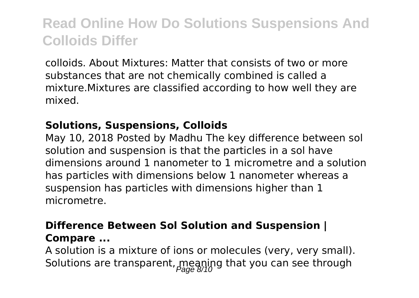colloids. About Mixtures: Matter that consists of two or more substances that are not chemically combined is called a mixture.Mixtures are classified according to how well they are mixed.

### **Solutions, Suspensions, Colloids**

May 10, 2018 Posted by Madhu The key difference between sol solution and suspension is that the particles in a sol have dimensions around 1 nanometer to 1 micrometre and a solution has particles with dimensions below 1 nanometer whereas a suspension has particles with dimensions higher than 1 micrometre.

### **Difference Between Sol Solution and Suspension | Compare ...**

A solution is a mixture of ions or molecules (very, very small). Solutions are transparent, meaning that you can see through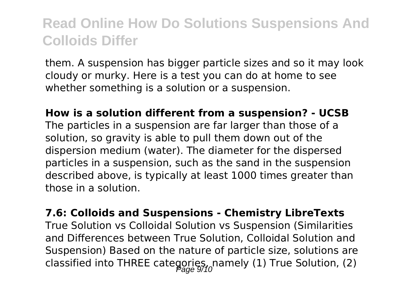them. A suspension has bigger particle sizes and so it may look cloudy or murky. Here is a test you can do at home to see whether something is a solution or a suspension.

**How is a solution different from a suspension? - UCSB** The particles in a suspension are far larger than those of a solution, so gravity is able to pull them down out of the dispersion medium (water). The diameter for the dispersed particles in a suspension, such as the sand in the suspension described above, is typically at least 1000 times greater than those in a solution.

#### **7.6: Colloids and Suspensions - Chemistry LibreTexts**

True Solution vs Colloidal Solution vs Suspension (Similarities and Differences between True Solution, Colloidal Solution and Suspension) Based on the nature of particle size, solutions are classified into THREE categories, namely (1) True Solution, (2)